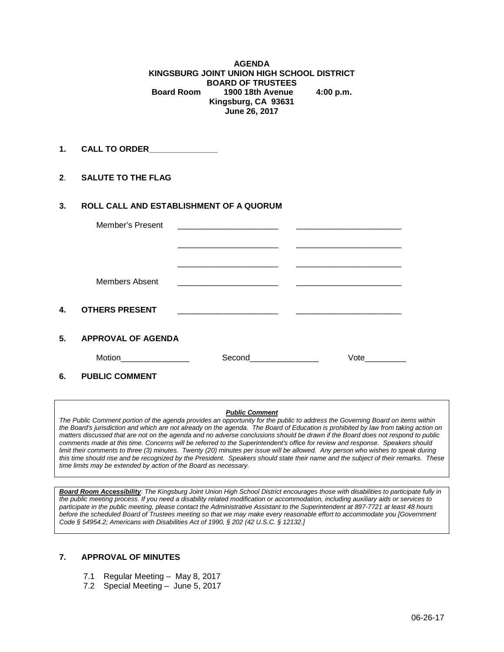**AGENDA KINGSBURG JOINT UNION HIGH SCHOOL DISTRICT BOARD OF TRUSTEES Board Room 1900 18th Avenue 4:00 p.m. Kingsburg, CA 93631 June 26, 2017**

**1. CALL TO ORDER\_\_\_\_\_\_\_\_\_\_\_\_\_\_\_**

**2**. **SALUTE TO THE FLAG**

#### **3. ROLL CALL AND ESTABLISHMENT OF A QUORUM**

|    | Member's Present          |                        |      |
|----|---------------------------|------------------------|------|
|    |                           |                        |      |
|    | Members Absent            |                        |      |
| 4. | <b>OTHERS PRESENT</b>     |                        |      |
| 5. | <b>APPROVAL OF AGENDA</b> |                        |      |
|    | Motion___________________ | Second________________ | Vote |
| 6. | <b>PUBLIC COMMENT</b>     |                        |      |

#### *Public Comment*

*The Public Comment portion of the agenda provides an opportunity for the public to address the Governing Board on items within the Board's jurisdiction and which are not already on the agenda. The Board of Education is prohibited by law from taking action on matters discussed that are not on the agenda and no adverse conclusions should be drawn if the Board does not respond to public comments made at this time. Concerns will be referred to the Superintendent's office for review and response. Speakers should limit their comments to three (3) minutes. Twenty (20) minutes per issue will be allowed. Any person who wishes to speak during this time should rise and be recognized by the President. Speakers should state their name and the subject of their remarks. These time limits may be extended by action of the Board as necessary.*

*Board Room Accessibility: The Kingsburg Joint Union High School District encourages those with disabilities to participate fully in the public meeting process. If you need a disability related modification or accommodation, including auxiliary aids or services to participate in the public meeting, please contact the Administrative Assistant to the Superintendent at 897-7721 at least 48 hours before the scheduled Board of Trustees meeting so that we may make every reasonable effort to accommodate you [Government Code § 54954.2; Americans with Disabilities Act of 1990, § 202 (42 U.S.C. § 12132.]*

#### **7. APPROVAL OF MINUTES**

- 7.1 Regular Meeting May 8, 2017
- 7.2 Special Meeting June 5, 2017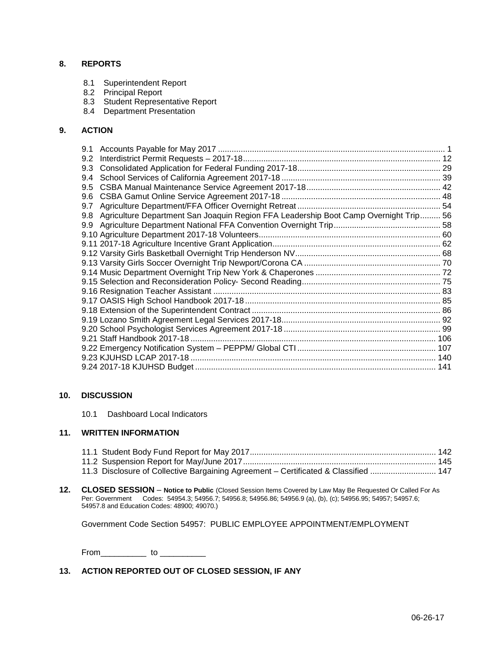### **8. REPORTS**

- 8.1 Superintendent Report
- 8.2 Principal Report
- 8.3 Student Representative Report
- 8.4 Department Presentation

#### **9. ACTION**

| 9.1 |                                                                                      |  |
|-----|--------------------------------------------------------------------------------------|--|
| 9.2 |                                                                                      |  |
| 9.3 |                                                                                      |  |
| 9.4 |                                                                                      |  |
| 9.5 |                                                                                      |  |
| 9.6 |                                                                                      |  |
| 9.7 |                                                                                      |  |
| 9.8 | Agriculture Department San Joaquin Region FFA Leadership Boot Camp Overnight Trip 56 |  |
| 9.9 |                                                                                      |  |
|     |                                                                                      |  |
|     |                                                                                      |  |
|     |                                                                                      |  |
|     |                                                                                      |  |
|     |                                                                                      |  |
|     |                                                                                      |  |
|     |                                                                                      |  |
|     |                                                                                      |  |
|     |                                                                                      |  |
|     |                                                                                      |  |
|     |                                                                                      |  |
|     |                                                                                      |  |
|     |                                                                                      |  |
|     |                                                                                      |  |
|     |                                                                                      |  |
|     |                                                                                      |  |

#### **10. DISCUSSION**

10.1 Dashboard Local Indicators

#### **11. WRITTEN INFORMATION**

| 11.3 Disclosure of Collective Bargaining Agreement - Certificated & Classified  147 |  |
|-------------------------------------------------------------------------------------|--|

**12. CLOSED SESSION** – **Notice to Public** (Closed Session Items Covered by Law May Be Requested Or Called For As Per: Government Codes: 54954.3; 54956.7; 54956.8; 54956.86; 54956.9 (a), (b), (c); 54956.95; 54957; 54957.6; 54957.8 and Education Codes: 48900; 49070.)

Government Code Section 54957: PUBLIC EMPLOYEE APPOINTMENT/EMPLOYMENT

From\_\_\_\_\_\_\_\_\_\_ to \_\_\_\_\_\_\_\_\_\_

### **13. ACTION REPORTED OUT OF CLOSED SESSION, IF ANY**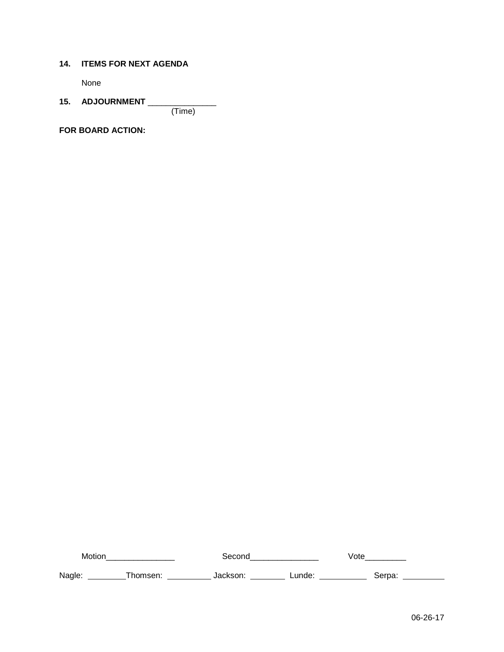### **14. ITEMS FOR NEXT AGENDA**

None

# **15. ADJOURNMENT** \_\_\_\_\_\_\_\_\_\_\_\_\_\_\_

(Time)

**FOR BOARD ACTION:**

Motion\_\_\_\_\_\_\_\_\_\_\_\_\_\_\_ Second\_\_\_\_\_\_\_\_\_\_\_\_\_\_\_ Vote\_\_\_\_\_\_\_\_\_ Nagle: \_\_\_\_\_\_\_\_\_Thomsen: \_\_\_\_\_\_\_\_\_\_\_\_\_ Jackson: \_\_\_\_\_\_\_\_\_\_ Lunde: \_\_\_\_\_\_\_\_\_\_\_\_\_\_ Serpa: \_\_\_\_\_\_\_\_\_\_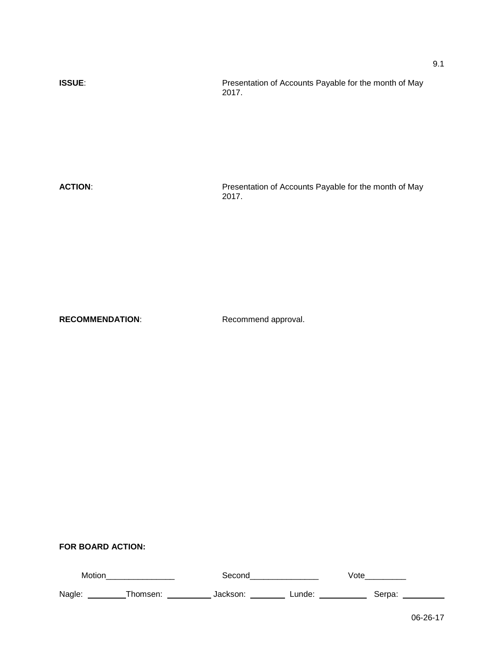**ISSUE:** Presentation of Accounts Payable for the month of May 2017.

ACTION: **ACTION:** Presentation of Accounts Payable for the month of May 2017.

RECOMMENDATION: Recommend approval.

| Motior |         | secon.   |        | ∨ote   |
|--------|---------|----------|--------|--------|
| Nagle: | :homeen | lackson: | .unde: | Serpa: |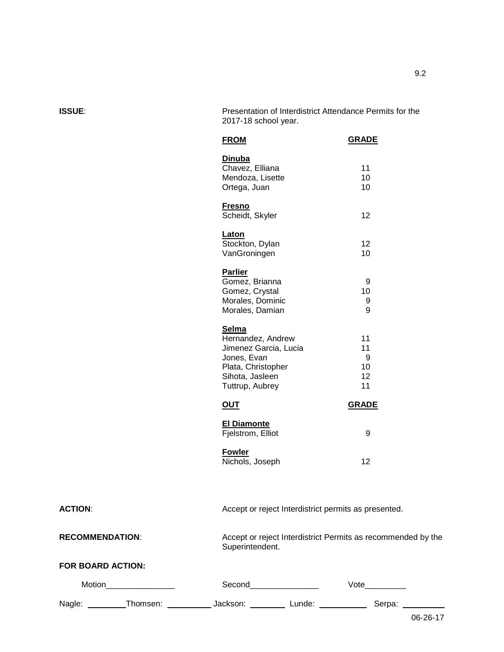**ISSUE**: Presentation of Interdistrict Attendance Permits for the 2017-18 school year.

| <b>FROM</b>                                                                                                                    | <b>GRADE</b>                    |
|--------------------------------------------------------------------------------------------------------------------------------|---------------------------------|
| <b>Dinuba</b><br>Chavez, Elliana<br>Mendoza, Lisette<br>Ortega, Juan                                                           | 11<br>10<br>10                  |
| <b>Fresno</b><br>Scheidt, Skyler                                                                                               | 12                              |
| Laton<br>Stockton, Dylan<br>VanGroningen                                                                                       | 12<br>10                        |
| <b>Parlier</b><br>Gomez, Brianna<br>Gomez, Crystal<br>Morales, Dominic<br>Morales, Damian                                      | 9<br>10<br>9<br>9               |
| Selma<br>Hernandez, Andrew<br>Jimenez Garcia, Lucia<br>Jones, Evan<br>Plata, Christopher<br>Sihota, Jasleen<br>Tuttrup, Aubrey | 11<br>11<br>9<br>10<br>12<br>11 |
| <u>OUT</u>                                                                                                                     | <b>GRADE</b>                    |
| <b>El Diamonte</b><br>Fjelstrom, Elliot                                                                                        | 9                               |
| <b>Fowler</b><br>Nichols, Joseph                                                                                               | 12                              |

ACTION: Accept or reject Interdistrict permits as presented. **RECOMMENDATION**: Accept or reject Interdistrict Permits as recommended by the Superintendent. **FOR BOARD ACTION:** Motion\_\_\_\_\_\_\_\_\_\_\_\_\_\_\_ Second\_\_\_\_\_\_\_\_\_\_\_\_\_\_\_ Vote\_\_\_\_\_\_\_\_\_ Nagle: \_\_\_\_\_\_\_\_\_Thomsen: \_\_\_\_\_\_\_\_\_\_\_\_\_ Jackson: \_\_\_\_\_\_\_\_\_\_\_ Lunde: \_\_\_\_\_\_\_\_\_\_\_\_\_ Serpa: \_\_\_\_\_\_\_\_\_\_\_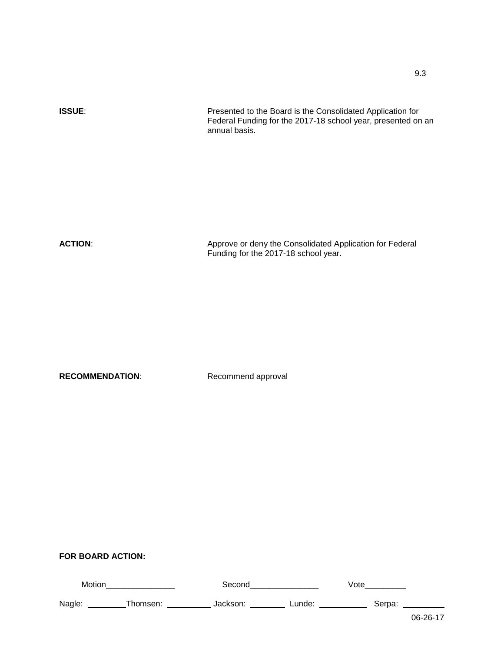| <b>ISSUE:</b>  | Presented to the Board is the Consolidated Application for<br>Federal Funding for the 2017-18 school year, presented on an<br>annual basis. |
|----------------|---------------------------------------------------------------------------------------------------------------------------------------------|
|                |                                                                                                                                             |
| <b>ACTION:</b> | Approve or deny the Consolidated Application for Federal                                                                                    |
|                | Funding for the 2017-18 school year.                                                                                                        |
|                |                                                                                                                                             |

| Motion |          | Second   |        | √ote   |        |
|--------|----------|----------|--------|--------|--------|
| Nagle: | Thomsen: | Jackson: | ∟unde: | Serpa: |        |
|        |          |          |        |        | 0.0001 |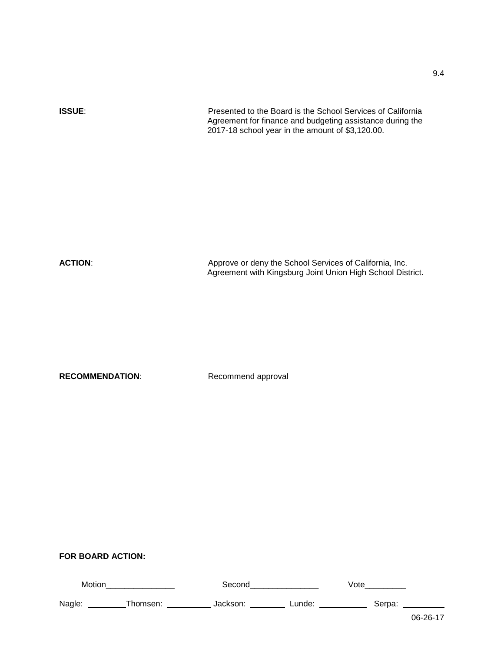| <b>ISSUE:</b>  | Presented to the Board is the School Services of California<br>Agreement for finance and budgeting assistance during the<br>2017-18 school year in the amount of \$3,120.00. |
|----------------|------------------------------------------------------------------------------------------------------------------------------------------------------------------------------|
| <b>ACTION:</b> | Approve or deny the School Services of California, Inc.<br>Agreement with Kingsburg Joint Union High School District.                                                        |

| Motion |          | Second   |        | Vote   |         |
|--------|----------|----------|--------|--------|---------|
| Nagle: | Thomsen: | Jackson: | Lunde: | Serpa: |         |
|        |          |          |        |        | 00.0017 |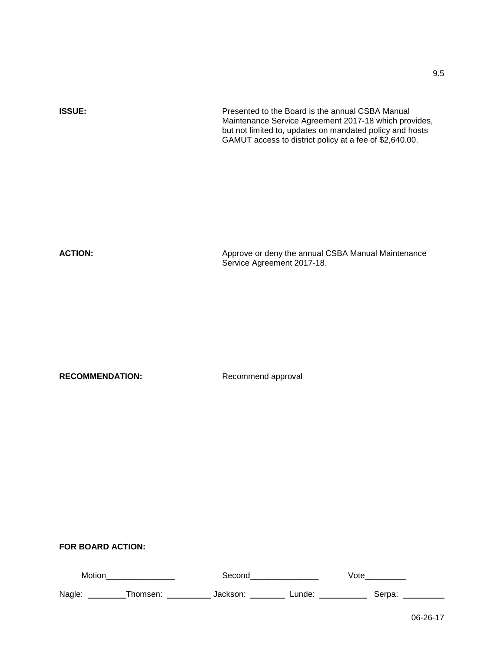| <b>ISSUE:</b> | Presented to the Board is the annual CSBA Manual<br>Maintenance Service Agreement 2017-18 which provides,<br>but not limited to, updates on mandated policy and hosts<br>GAMUT access to district policy at a fee of \$2,640.00. |
|---------------|----------------------------------------------------------------------------------------------------------------------------------------------------------------------------------------------------------------------------------|
| ACTION-       | Approve or dony the appual CSRA Manual Maintenance                                                                                                                                                                               |

**ACTION:** Approve or deny the annual CSBA Manual Maintenance of the annual CSBA Manual Maintenance Service Agreement 2017-18.

RECOMMENDATION: Recommend approval

| Motion |         | Second               |        | Vote   |  |
|--------|---------|----------------------|--------|--------|--|
| Nagle: | homsen: | Jackson <sup>.</sup> | ∟unde: | Serpa: |  |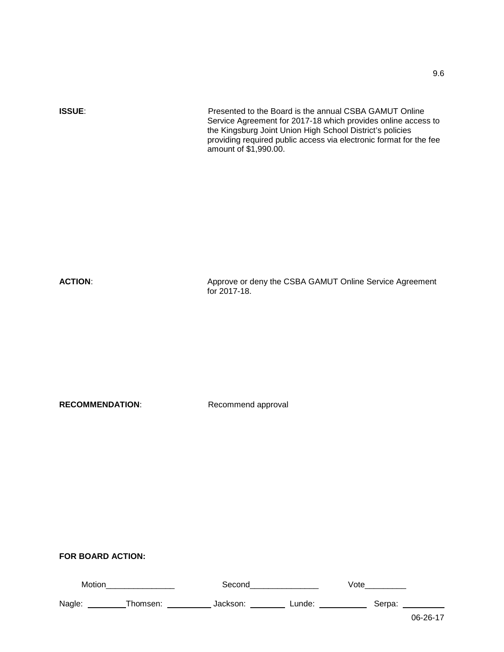**ISSUE:** Presented to the Board is the annual CSBA GAMUT Online Service Agreement for 2017-18 which provides online access to the Kingsburg Joint Union High School District's policies providing required public access via electronic format for the fee amount of \$1,990.00.

ACTION: Approve or deny the CSBA GAMUT Online Service Agreement for 2017-18.

**RECOMMENDATION:** Recommend approval

### **FOR BOARD ACTION:**

| Motion |          | Seconc   |        | √ote   |  |
|--------|----------|----------|--------|--------|--|
| Nagle: | Thomsen: | Jackson: | Lunde: | Serpa: |  |
|        |          |          |        |        |  |

9.6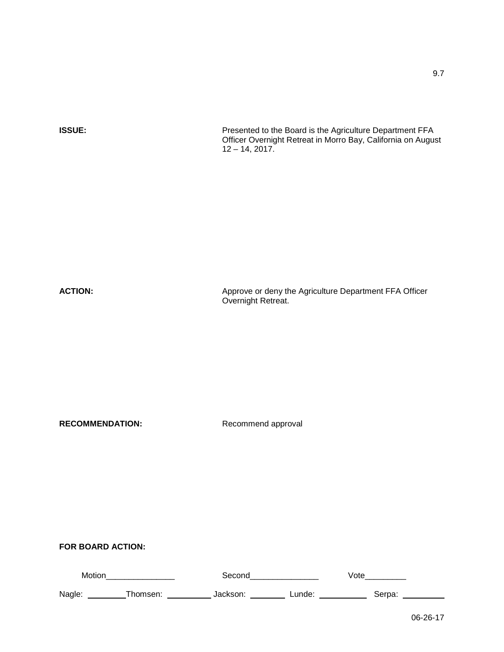**ISSUE: Presented to the Board is the Agriculture Department FFA** Officer Overnight Retreat in Morro Bay, California on August  $12 - 14, 2017.$ 

ACTION: Approve or deny the Agriculture Department FFA Officer Overnight Retreat.

RECOMMENDATION: Recommend approval

| Motir  |  |       | ute   |  |
|--------|--|-------|-------|--|
| Nagle: |  | unde. | ierna |  |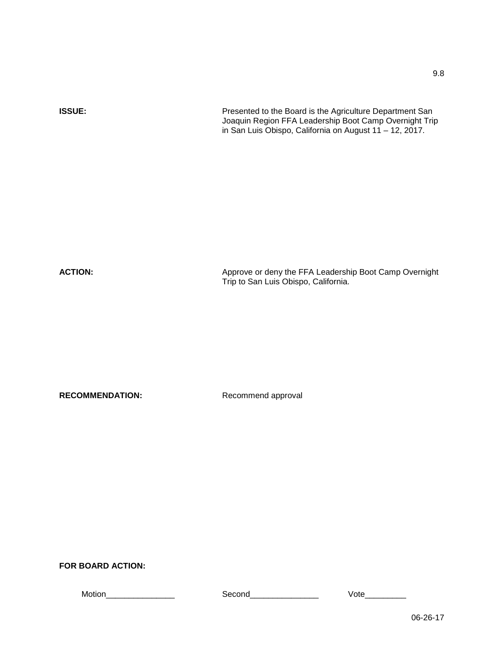9.8

**ISSUE:** Presented to the Board is the Agriculture Department San Joaquin Region FFA Leadership Boot Camp Overnight Trip in San Luis Obispo, California on August 11 – 12, 2017.

ACTION: Approve or deny the FFA Leadership Boot Camp Overnight Trip to San Luis Obispo, California.

RECOMMENDATION: Recommend approval

**FOR BOARD ACTION:**

Motion\_\_\_\_\_\_\_\_\_\_\_\_\_\_\_ Second\_\_\_\_\_\_\_\_\_\_\_\_\_\_\_ Vote\_\_\_\_\_\_\_\_\_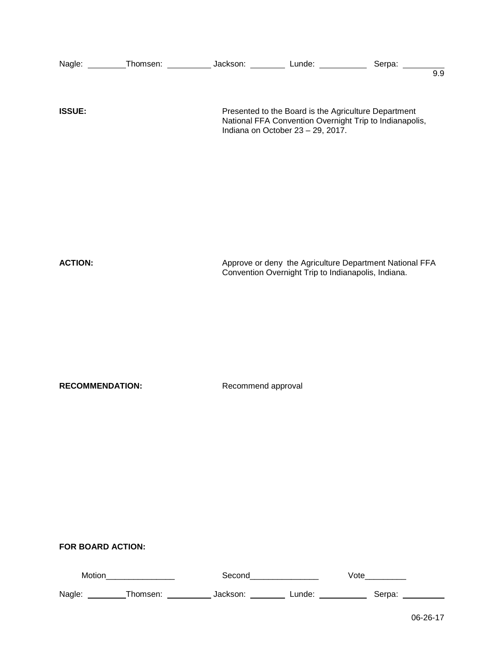|                        | Nagle: _________Thomsen: ______________Jackson: ___________ Lunde: ______________ Serpa: ________   |                    |                                                     |                                                                                                                 | $\overline{9.9}$ |
|------------------------|-----------------------------------------------------------------------------------------------------|--------------------|-----------------------------------------------------|-----------------------------------------------------------------------------------------------------------------|------------------|
| <b>ISSUE:</b>          |                                                                                                     |                    | Indiana on October 23 - 29, 2017.                   | Presented to the Board is the Agriculture Department<br>National FFA Convention Overnight Trip to Indianapolis, |                  |
|                        |                                                                                                     |                    |                                                     |                                                                                                                 |                  |
| <b>ACTION:</b>         |                                                                                                     |                    | Convention Overnight Trip to Indianapolis, Indiana. | Approve or deny the Agriculture Department National FFA                                                         |                  |
| <b>RECOMMENDATION:</b> |                                                                                                     | Recommend approval |                                                     |                                                                                                                 |                  |
|                        |                                                                                                     |                    |                                                     |                                                                                                                 |                  |
|                        |                                                                                                     |                    |                                                     |                                                                                                                 |                  |
| FOR BOARD ACTION:      |                                                                                                     |                    |                                                     |                                                                                                                 |                  |
|                        | Motion___________________                                                                           |                    | Second_________________                             |                                                                                                                 |                  |
|                        | Nagle: _________Thomsen: _____________Jackson: ___________Lunde: _______________ Serpa: ___________ |                    |                                                     |                                                                                                                 |                  |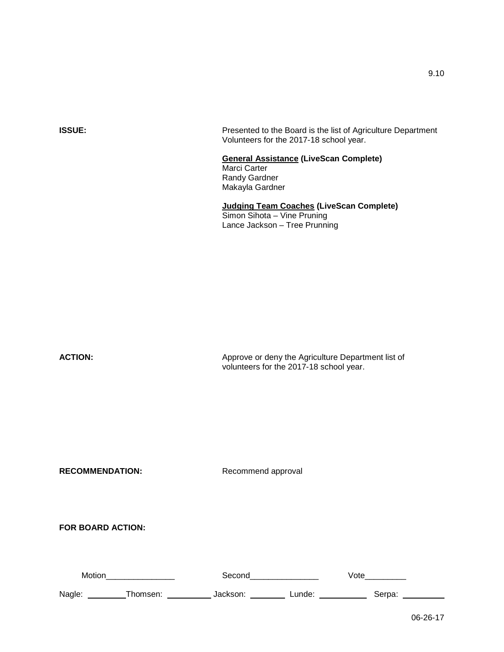|                          | Volunteers for the 2017-18 school year.                                                                         |
|--------------------------|-----------------------------------------------------------------------------------------------------------------|
|                          | <b>General Assistance (LiveScan Complete)</b><br>Marci Carter<br>Randy Gardner<br>Makayla Gardner               |
|                          | <b>Judging Team Coaches (LiveScan Complete)</b><br>Simon Sihota - Vine Pruning<br>Lance Jackson - Tree Prunning |
|                          |                                                                                                                 |
|                          |                                                                                                                 |
| <b>ACTION:</b>           | Approve or deny the Agriculture Department list of<br>volunteers for the 2017-18 school year.                   |
| <b>RECOMMENDATION:</b>   | Recommend approval                                                                                              |
| <b>FOR BOARD ACTION:</b> |                                                                                                                 |
| Motion__________________ | Second__________________<br>Vote                                                                                |
|                          | Nagle: __________Thomsen: ______________Jackson: ___________ Lunde: _____________ Serpa: _                      |

**ISSUE: Presented to the Board is the list of Agriculture Department** 

06-26-17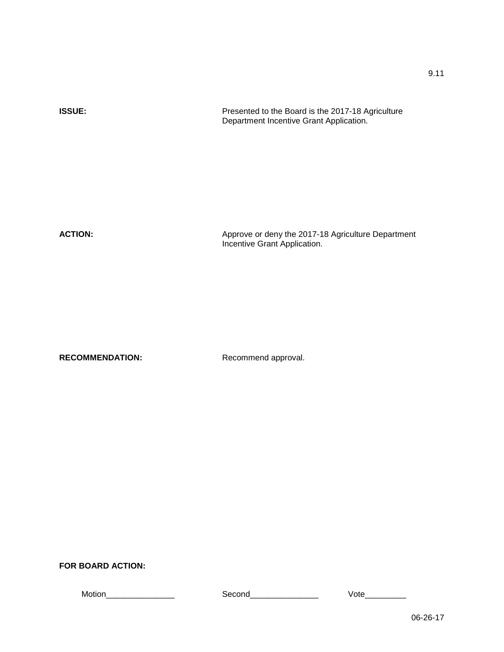| <b>ISSUE:</b> | Presented to the Board is the 2017-18 Agriculture<br>Department Incentive Grant Application. |
|---------------|----------------------------------------------------------------------------------------------|
|               |                                                                                              |
|               |                                                                                              |

**ACTION:** Approve or deny the 2017-18 Agriculture Department Incentive Grant Application.

RECOMMENDATION: Recommend approval.

### **FOR BOARD ACTION:**

Motion\_\_\_\_\_\_\_\_\_\_\_\_\_\_\_ Second\_\_\_\_\_\_\_\_\_\_\_\_\_\_\_ Vote\_\_\_\_\_\_\_\_\_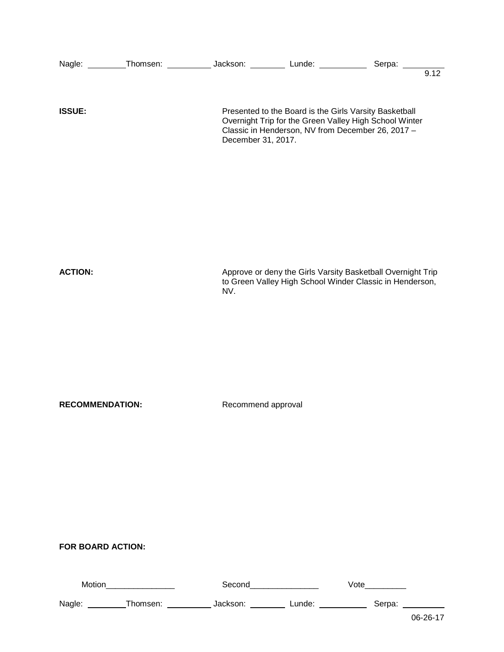| <b>ISSUE:</b>          |                                      | December 31, 2017. |                                  | Presented to the Board is the Girls Varsity Basketball<br>Overnight Trip for the Green Valley High School Winter<br>Classic in Henderson, NV from December 26, 2017 - |  |
|------------------------|--------------------------------------|--------------------|----------------------------------|-----------------------------------------------------------------------------------------------------------------------------------------------------------------------|--|
| <b>ACTION:</b>         |                                      | NV.                |                                  | Approve or deny the Girls Varsity Basketball Overnight Trip<br>to Green Valley High School Winder Classic in Henderson,                                               |  |
| <b>RECOMMENDATION:</b> |                                      | Recommend approval |                                  |                                                                                                                                                                       |  |
| FOR BOARD ACTION:      | Motion___________________            |                    | Second__________________         | Vote                                                                                                                                                                  |  |
|                        | Nagle: __________Thomsen: __________ |                    | Jackson: Lunde: _________ Serpa: |                                                                                                                                                                       |  |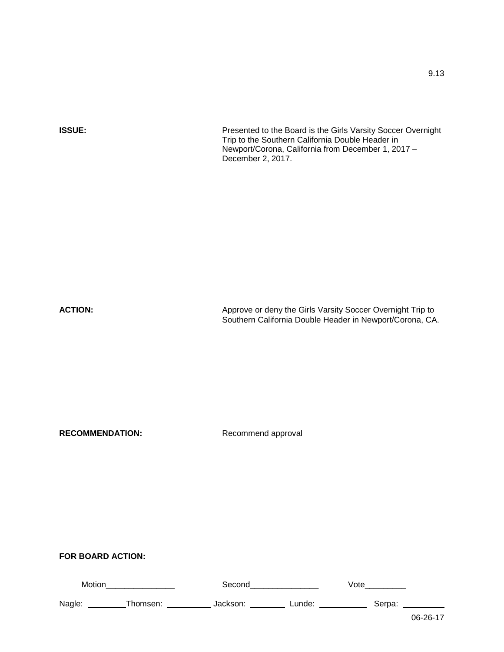**ISSUE: Presented to the Board is the Girls Varsity Soccer Overnight ISSUE:** Trip to the Southern California Double Header in Newport/Corona, California from December 1, 2017 – December 2, 2017.

**ACTION:** Approve or deny the Girls Varsity Soccer Overnight Trip to Approve or deny the Girls Varsity Soccer Overnight Trip to Southern California Double Header in Newport/Corona, CA.

RECOMMENDATION: Recommend approval

| Motior |          | Seconc   |        | √ote   |       |
|--------|----------|----------|--------|--------|-------|
| Nagle: | Thomsen: | Jackson: | ∟unde: | Serpa: |       |
|        |          |          |        |        | 00.22 |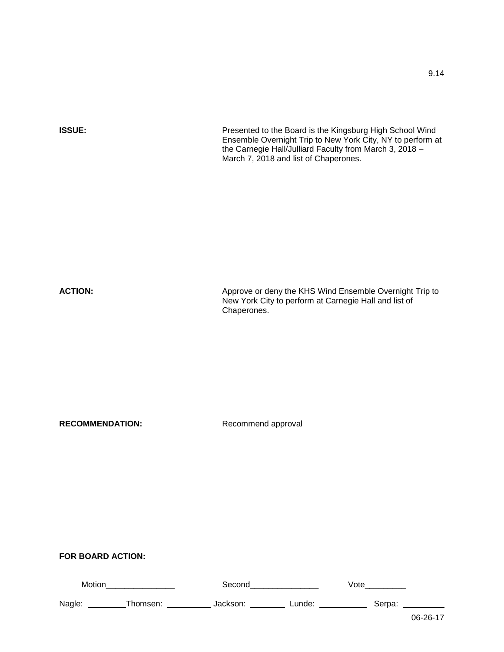| <b>ISSUE:</b>          | Presented to the Board is the Kingsburg High School Wind<br>Ensemble Overnight Trip to New York City, NY to perform at<br>the Carnegie Hall/Julliard Faculty from March 3, 2018 -<br>March 7, 2018 and list of Chaperones. |
|------------------------|----------------------------------------------------------------------------------------------------------------------------------------------------------------------------------------------------------------------------|
| <b>ACTION:</b>         | Approve or deny the KHS Wind Ensemble Overnight Trip to<br>New York City to perform at Carnegie Hall and list of<br>Chaperones.                                                                                            |
| <b>RECOMMENDATION:</b> | Recommend approval                                                                                                                                                                                                         |

| Motion |          | Second   |        | Vote   |       |
|--------|----------|----------|--------|--------|-------|
| Nagle: | Thomsen: | Jackson: | ∟unde: | Serpa: |       |
|        |          |          |        |        | 00.22 |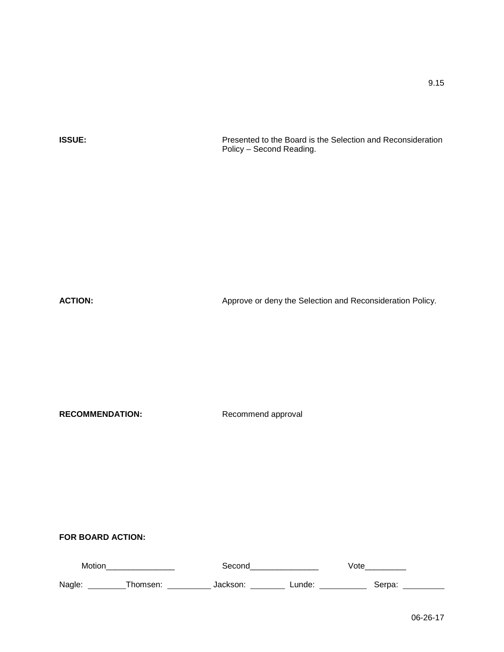**ISSUE:** Presented to the Board is the Selection and Reconsideration Policy – Second Reading.

ACTION: Approve or deny the Selection and Reconsideration Policy.

RECOMMENDATION: Recommend approval

| Motic |  |            | ULC |  |
|-------|--|------------|-----|--|
| Nagle |  | indo<br>uu |     |  |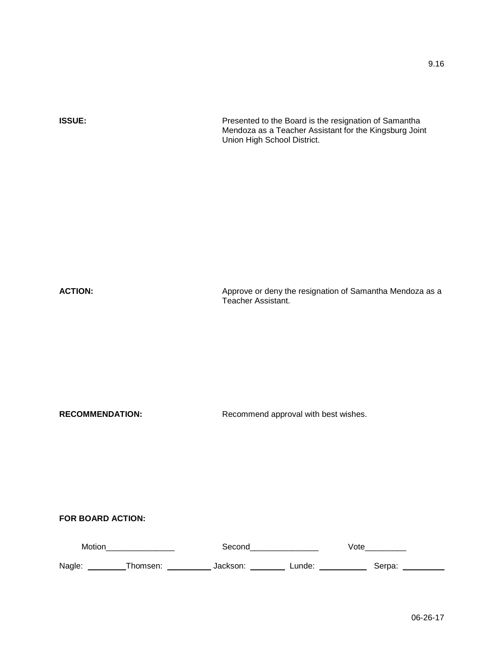**ISSUE:** Presented to the Board is the resignation of Samantha

Union High School District.

Mendoza as a Teacher Assistant for the Kingsburg Joint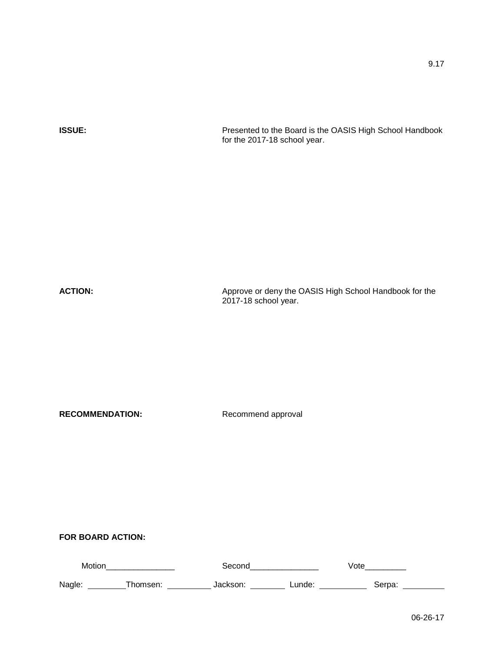**ISSUE:** Presented to the Board is the OASIS High School Handbook for the 2017-18 school year.

**ACTION:** Approve or deny the OASIS High School Handbook for the ACTION: 2017-18 school year.

RECOMMENDATION: Recommend approval

| Motion | Seconc   |          | Vote   |        |  |
|--------|----------|----------|--------|--------|--|
| Nagle: | Thomsen: | Jackson: | ∟unde∶ | Serpa: |  |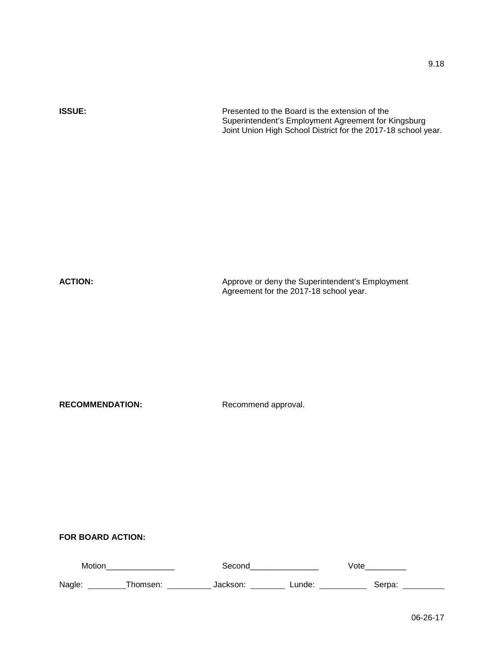**ISSUE:** Presented to the Board is the extension of the

Superintendent's Employment Agreement for Kingsburg Joint Union High School District for the 2017-18 school year.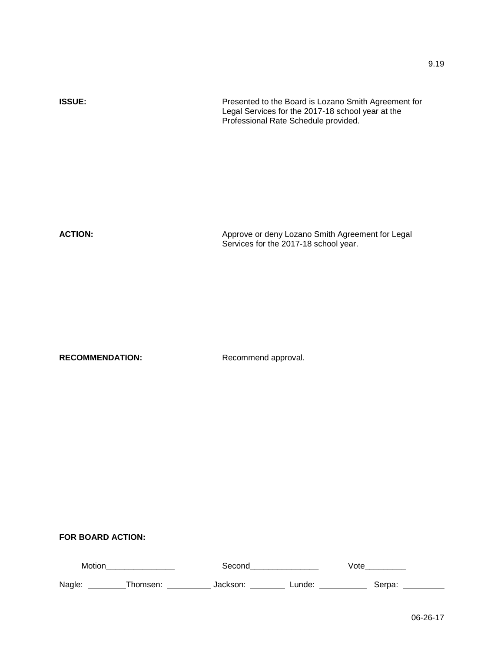| <b>ISSUE:</b>  | Presented to the Board is Lozano Smith Agreement for<br>Legal Services for the 2017-18 school year at the<br>Professional Rate Schedule provided. |
|----------------|---------------------------------------------------------------------------------------------------------------------------------------------------|
| <b>ACTION:</b> | Approve or deny Lozano Smith Agreement for Legal<br>Services for the 2017-18 school year.                                                         |

| Motior |  |        | /ot∈  |  |
|--------|--|--------|-------|--|
| Nagle: |  | ∟unde: | Serpa |  |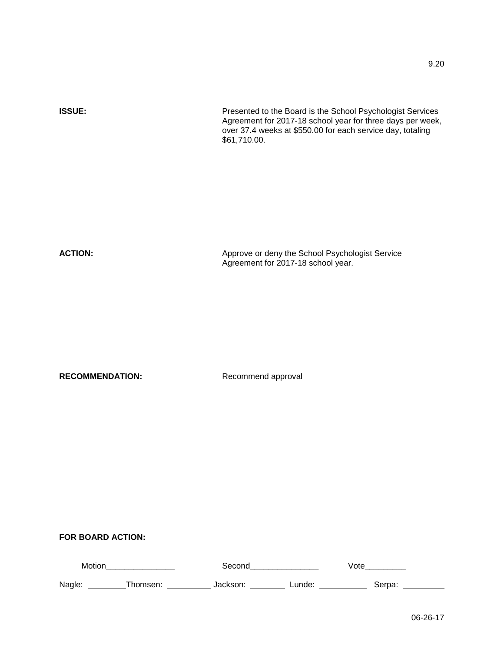**FOR BOARD ACTION:**

| Motio  |           |             | υιc     |  |
|--------|-----------|-------------|---------|--|
| Nagle: | . nor $r$ | unde:<br>-- | ™ i Dα. |  |

06-26-17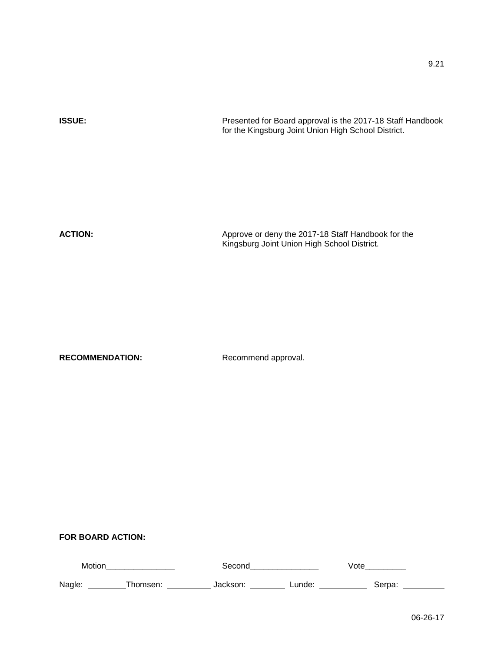| <b>ISSUE:</b>  | Presented for Board approval is the 2017-18 Staff Handbook<br>for the Kingsburg Joint Union High School District. |  |  |
|----------------|-------------------------------------------------------------------------------------------------------------------|--|--|
|                |                                                                                                                   |  |  |
|                |                                                                                                                   |  |  |
| <b>ACTION:</b> | Approve or deny the 2017-18 Staff Handbook for the<br>Kingsburg Joint Union High School District.                 |  |  |

| Motior |       |       |             |
|--------|-------|-------|-------------|
| Nagle: | mean. | unde. | <b>Arns</b> |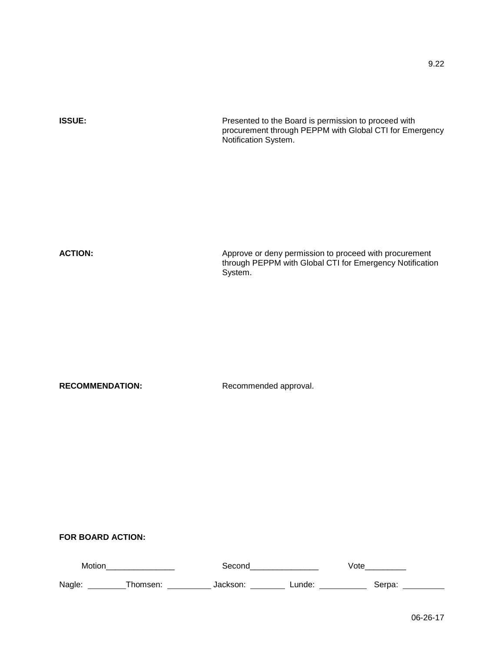| <b>ISSUE:</b>             | Presented to the Board is permission to proceed with<br>procurement through PEPPM with Global CTI for Emergency<br>Notification System. |  |  |
|---------------------------|-----------------------------------------------------------------------------------------------------------------------------------------|--|--|
| <b>ACTION:</b>            | Approve or deny permission to proceed with procurement<br>through PEPPM with Global CTI for Emergency Notification<br>System.           |  |  |
| <b>RECOMMENDATION:</b>    | Recommended approval.                                                                                                                   |  |  |
| FOR BOARD ACTION:         |                                                                                                                                         |  |  |
| Motion___________________ | Second_________________<br>Vote                                                                                                         |  |  |
|                           | Nagle: __________Thomsen: ______________Jackson: ____________Lunde: ______________ Serpa: __________<br>06-26-17                        |  |  |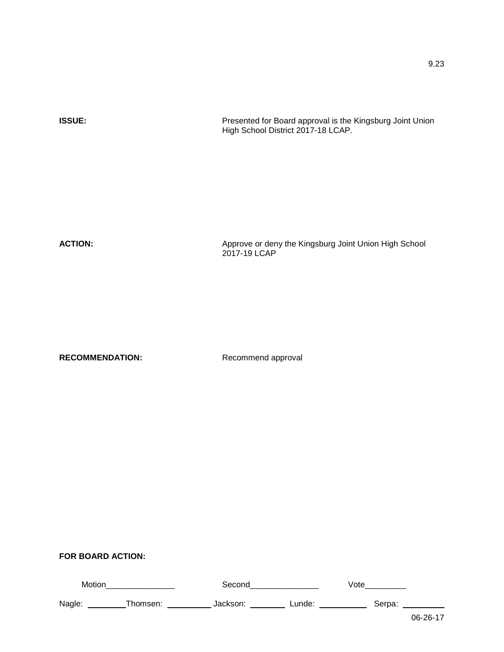| <b>ISSUE:</b>  | Presented for Board approval is the Kingsburg Joint Union<br>High School District 2017-18 LCAP. |
|----------------|-------------------------------------------------------------------------------------------------|
|                |                                                                                                 |
|                |                                                                                                 |
| <b>ACTION:</b> | Approve or deny the Kingsburg Joint Union High School<br>2017-19 LCAP                           |
|                |                                                                                                 |

## **FOR BOARD ACTION:**

| Motion |          | Second   |        | ∨ote   |                |
|--------|----------|----------|--------|--------|----------------|
| Nagle: | Thomsen: | Jackson: | Lunde: | Serpa: |                |
|        |          |          |        |        | $OC$ $OC$ $17$ |

9.23